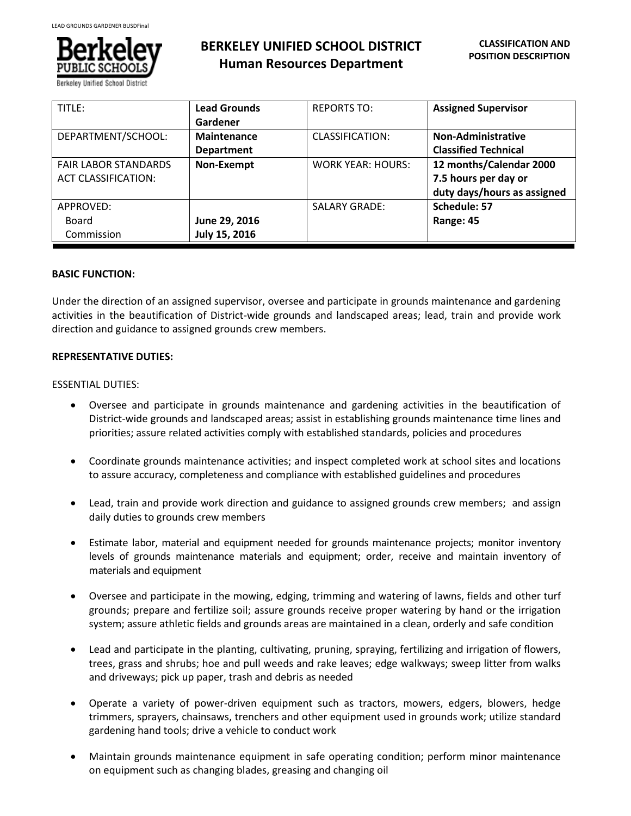

**BERKELEY UNIFIED SCHOOL DISTRICT Human Resources Department**

| TITLE:                                                    | <b>Lead Grounds</b><br>Gardener         | <b>REPORTS TO:</b>       | <b>Assigned Supervisor</b>                                                     |
|-----------------------------------------------------------|-----------------------------------------|--------------------------|--------------------------------------------------------------------------------|
| DEPARTMENT/SCHOOL:                                        | <b>Maintenance</b><br><b>Department</b> | CLASSIFICATION:          | <b>Non-Administrative</b><br><b>Classified Technical</b>                       |
| <b>FAIR LABOR STANDARDS</b><br><b>ACT CLASSIFICATION:</b> | Non-Exempt                              | <b>WORK YEAR: HOURS:</b> | 12 months/Calendar 2000<br>7.5 hours per day or<br>duty days/hours as assigned |
| APPROVED:<br>Board<br>Commission                          | June 29, 2016<br>July 15, 2016          | <b>SALARY GRADE:</b>     | Schedule: 57<br>Range: 45                                                      |

# **BASIC FUNCTION:**

Under the direction of an assigned supervisor, oversee and participate in grounds maintenance and gardening activities in the beautification of District-wide grounds and landscaped areas; lead, train and provide work direction and guidance to assigned grounds crew members.

## **REPRESENTATIVE DUTIES:**

## ESSENTIAL DUTIES:

- Oversee and participate in grounds maintenance and gardening activities in the beautification of District-wide grounds and landscaped areas; assist in establishing grounds maintenance time lines and priorities; assure related activities comply with established standards, policies and procedures
- Coordinate grounds maintenance activities; and inspect completed work at school sites and locations to assure accuracy, completeness and compliance with established guidelines and procedures
- Lead, train and provide work direction and guidance to assigned grounds crew members; and assign daily duties to grounds crew members
- Estimate labor, material and equipment needed for grounds maintenance projects; monitor inventory levels of grounds maintenance materials and equipment; order, receive and maintain inventory of materials and equipment
- Oversee and participate in the mowing, edging, trimming and watering of lawns, fields and other turf grounds; prepare and fertilize soil; assure grounds receive proper watering by hand or the irrigation system; assure athletic fields and grounds areas are maintained in a clean, orderly and safe condition
- Lead and participate in the planting, cultivating, pruning, spraying, fertilizing and irrigation of flowers, trees, grass and shrubs; hoe and pull weeds and rake leaves; edge walkways; sweep litter from walks and driveways; pick up paper, trash and debris as needed
- Operate a variety of power-driven equipment such as tractors, mowers, edgers, blowers, hedge trimmers, sprayers, chainsaws, trenchers and other equipment used in grounds work; utilize standard gardening hand tools; drive a vehicle to conduct work
- Maintain grounds maintenance equipment in safe operating condition; perform minor maintenance on equipment such as changing blades, greasing and changing oil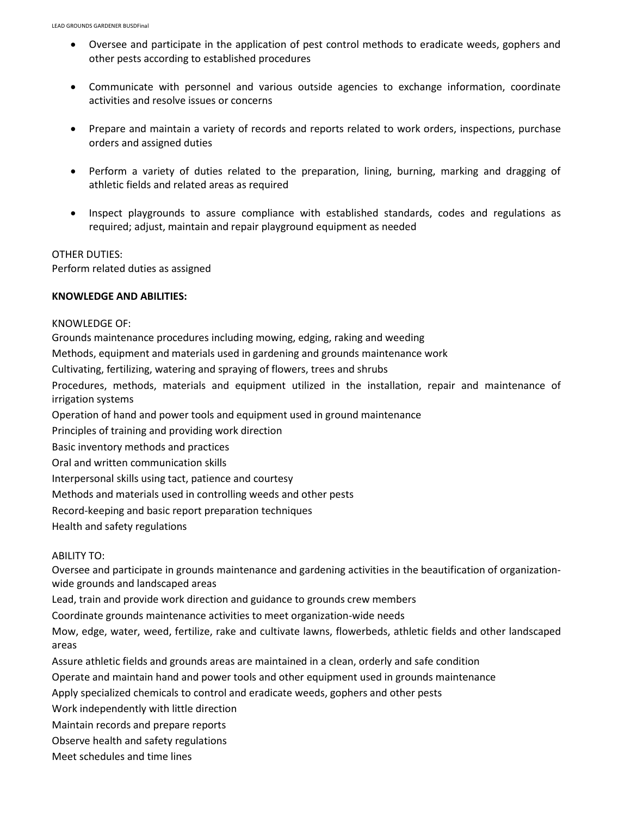- Oversee and participate in the application of pest control methods to eradicate weeds, gophers and other pests according to established procedures
- Communicate with personnel and various outside agencies to exchange information, coordinate activities and resolve issues or concerns
- Prepare and maintain a variety of records and reports related to work orders, inspections, purchase orders and assigned duties
- Perform a variety of duties related to the preparation, lining, burning, marking and dragging of athletic fields and related areas as required
- Inspect playgrounds to assure compliance with established standards, codes and regulations as required; adjust, maintain and repair playground equipment as needed

### OTHER DUTIES:

Perform related duties as assigned

## **KNOWLEDGE AND ABILITIES:**

### KNOWLEDGE OF:

Grounds maintenance procedures including mowing, edging, raking and weeding

Methods, equipment and materials used in gardening and grounds maintenance work

Cultivating, fertilizing, watering and spraying of flowers, trees and shrubs

Procedures, methods, materials and equipment utilized in the installation, repair and maintenance of irrigation systems

Operation of hand and power tools and equipment used in ground maintenance

Principles of training and providing work direction

Basic inventory methods and practices

Oral and written communication skills

Interpersonal skills using tact, patience and courtesy

Methods and materials used in controlling weeds and other pests

Record-keeping and basic report preparation techniques

Health and safety regulations

### ABILITY TO:

Oversee and participate in grounds maintenance and gardening activities in the beautification of organizationwide grounds and landscaped areas

Lead, train and provide work direction and guidance to grounds crew members

Coordinate grounds maintenance activities to meet organization-wide needs

Mow, edge, water, weed, fertilize, rake and cultivate lawns, flowerbeds, athletic fields and other landscaped areas

Assure athletic fields and grounds areas are maintained in a clean, orderly and safe condition

Operate and maintain hand and power tools and other equipment used in grounds maintenance

Apply specialized chemicals to control and eradicate weeds, gophers and other pests

Work independently with little direction

Maintain records and prepare reports

Observe health and safety regulations

Meet schedules and time lines